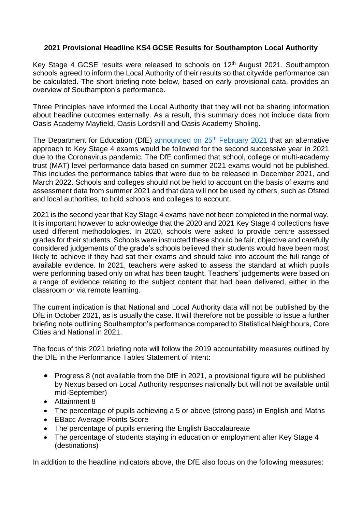## **2021 Provisional Headline KS4 GCSE Results for Southampton Local Authority**

Key Stage 4 GCSE results were released to schools on 12th August 2021. Southampton schools agreed to inform the Local Authority of their results so that citywide performance can be calculated. The short briefing note below, based on early provisional data, provides an overview of Southampton's performance.

Three Principles have informed the Local Authority that they will not be sharing information about headline outcomes externally. As a result, this summary does not include data from Oasis Academy Mayfield, Oasis Lordshill and Oasis Academy Sholing.

The Department for Education (DfE) [announced on 25](https://www.gov.uk/government/publications/awarding-qualifications-in-summer-2021)<sup>th</sup> February 2021 that an alternative approach to Key Stage 4 exams would be followed for the second successive year in 2021 due to the Coronavirus pandemic. The DfE confirmed that school, college or multi-academy trust (MAT) level performance data based on summer 2021 exams would not be published. This includes the performance tables that were due to be released in December 2021, and March 2022. Schools and colleges should not be held to account on the basis of exams and assessment data from summer 2021 and that data will not be used by others, such as Ofsted and local authorities, to hold schools and colleges to account.

2021 is the second year that Key Stage 4 exams have not been completed in the normal way. It is important however to acknowledge that the 2020 and 2021 Key Stage 4 collections have used different methodologies. In 2020, schools were asked to provide centre assessed grades for their students. Schools were instructed these should be fair, objective and carefully considered judgements of the grade's schools believed their students would have been most likely to achieve if they had sat their exams and should take into account the full range of available evidence. In 2021, teachers were asked to assess the standard at which pupils were performing based only on what has been taught. Teachers' judgements were based on a range of evidence relating to the subject content that had been delivered, either in the classroom or via remote learning.

The current indication is that National and Local Authority data will not be published by the DfE in October 2021, as is usually the case. It will therefore not be possible to issue a further briefing note outlining Southampton's performance compared to Statistical Neighbours, Core Cities and National in 2021.

The focus of this 2021 briefing note will follow the 2019 accountability measures outlined by the DfE in the Performance Tables Statement of Intent:

- Progress 8 (not available from the DfE in 2021, a provisional figure will be published by Nexus based on Local Authority responses nationally but will not be available until mid-September)
- Attainment 8
- The percentage of pupils achieving a 5 or above (strong pass) in English and Maths
- EBacc Average Points Score
- The percentage of pupils entering the English Baccalaureate
- The percentage of students staving in education or employment after Key Stage 4 (destinations)

In addition to the headline indicators above, the DfE also focus on the following measures: